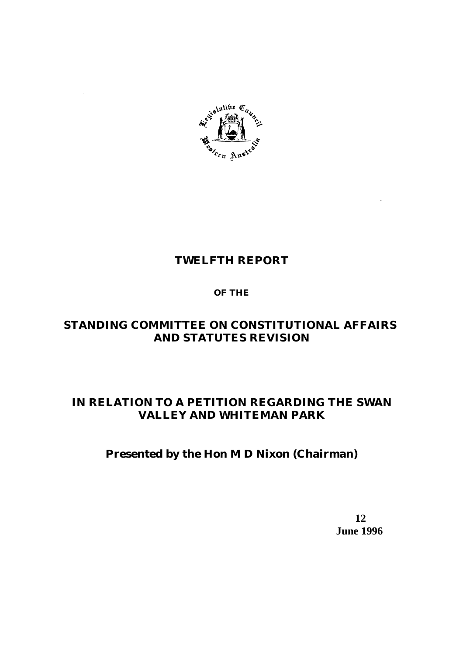

# **TWELFTH REPORT**

# **OF THE**

# **STANDING COMMITTEE ON CONSTITUTIONAL AFFAIRS AND STATUTES REVISION**

# **IN RELATION TO A PETITION REGARDING THE SWAN VALLEY AND WHITEMAN PARK**

# **Presented by the Hon M D Nixon (Chairman)**

 **12 June 1996**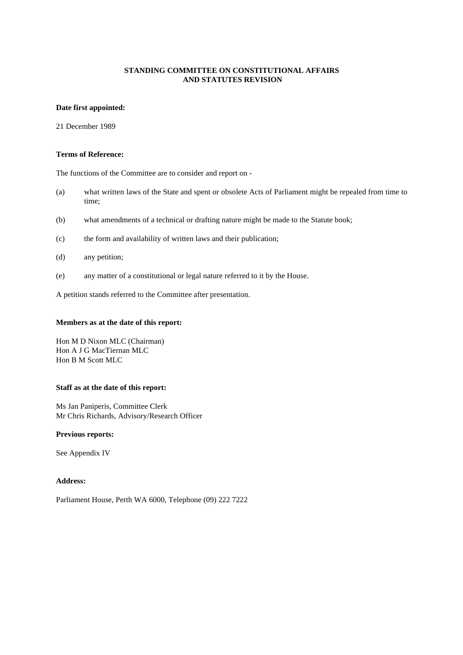## **Date first appointed:**

21 December 1989

#### **Terms of Reference:**

The functions of the Committee are to consider and report on -

- (a) what written laws of the State and spent or obsolete Acts of Parliament might be repealed from time to time;
- (b) what amendments of a technical or drafting nature might be made to the Statute book;
- (c) the form and availability of written laws and their publication;
- (d) any petition;
- (e) any matter of a constitutional or legal nature referred to it by the House.

A petition stands referred to the Committee after presentation.

#### **Members as at the date of this report:**

Hon M D Nixon MLC (Chairman) Hon A J G MacTiernan MLC Hon B M Scott MLC

#### **Staff as at the date of this report:**

Ms Jan Paniperis, Committee Clerk Mr Chris Richards, Advisory/Research Officer

#### **Previous reports:**

See Appendix IV

## **Address:**

Parliament House, Perth WA 6000, Telephone (09) 222 7222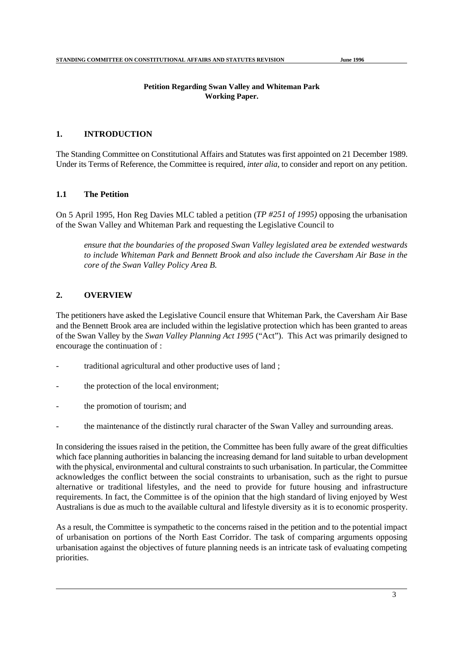## **Petition Regarding Swan Valley and Whiteman Park Working Paper.**

## **1. INTRODUCTION**

The Standing Committee on Constitutional Affairs and Statutes was first appointed on 21 December 1989. Under its Terms of Reference, the Committee is required, *inter alia*, to consider and report on any petition.

## **1.1 The Petition**

On 5 April 1995, Hon Reg Davies MLC tabled a petition (*TP #251 of 1995)* opposing the urbanisation of the Swan Valley and Whiteman Park and requesting the Legislative Council to

*ensure that the boundaries of the proposed Swan Valley legislated area be extended westwards to include Whiteman Park and Bennett Brook and also include the Caversham Air Base in the core of the Swan Valley Policy Area B.*

## **2. OVERVIEW**

The petitioners have asked the Legislative Council ensure that Whiteman Park, the Caversham Air Base and the Bennett Brook area are included within the legislative protection which has been granted to areas of the Swan Valley by the *Swan Valley Planning Act 1995* ("Act"). This Act was primarily designed to encourage the continuation of :

- traditional agricultural and other productive uses of land;
- the protection of the local environment;
- the promotion of tourism; and
- the maintenance of the distinctly rural character of the Swan Valley and surrounding areas.

In considering the issues raised in the petition, the Committee has been fully aware of the great difficulties which face planning authorities in balancing the increasing demand for land suitable to urban development with the physical, environmental and cultural constraints to such urbanisation. In particular, the Committee acknowledges the conflict between the social constraints to urbanisation, such as the right to pursue alternative or traditional lifestyles, and the need to provide for future housing and infrastructure requirements. In fact, the Committee is of the opinion that the high standard of living enjoyed by West Australians is due as much to the available cultural and lifestyle diversity as it is to economic prosperity.

As a result, the Committee is sympathetic to the concerns raised in the petition and to the potential impact of urbanisation on portions of the North East Corridor. The task of comparing arguments opposing urbanisation against the objectives of future planning needs is an intricate task of evaluating competing priorities.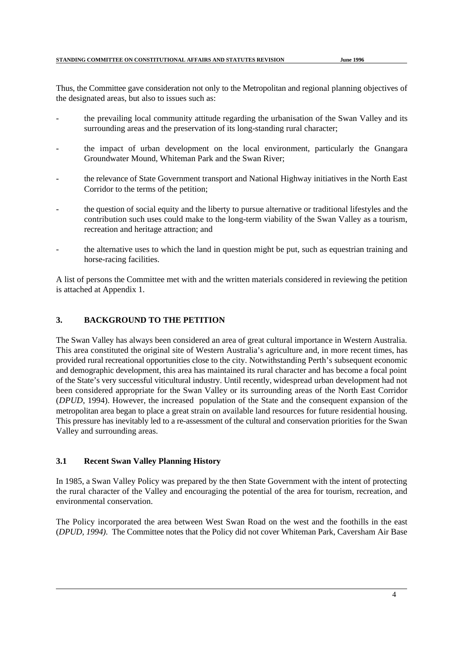Thus, the Committee gave consideration not only to the Metropolitan and regional planning objectives of the designated areas, but also to issues such as:

- the prevailing local community attitude regarding the urbanisation of the Swan Valley and its surrounding areas and the preservation of its long-standing rural character;
- the impact of urban development on the local environment, particularly the Gnangara Groundwater Mound, Whiteman Park and the Swan River;
- the relevance of State Government transport and National Highway initiatives in the North East Corridor to the terms of the petition;
- the question of social equity and the liberty to pursue alternative or traditional lifestyles and the contribution such uses could make to the long-term viability of the Swan Valley as a tourism, recreation and heritage attraction; and
- the alternative uses to which the land in question might be put, such as equestrian training and horse-racing facilities.

A list of persons the Committee met with and the written materials considered in reviewing the petition is attached at Appendix 1.

## **3. BACKGROUND TO THE PETITION**

The Swan Valley has always been considered an area of great cultural importance in Western Australia. This area constituted the original site of Western Australia's agriculture and, in more recent times, has provided rural recreational opportunities close to the city. Notwithstanding Perth's subsequent economic and demographic development, this area has maintained its rural character and has become a focal point of the State's very successful viticultural industry. Until recently, widespread urban development had not been considered appropriate for the Swan Valley or its surrounding areas of the North East Corridor (*DPUD*, 1994). However, the increased population of the State and the consequent expansion of the metropolitan area began to place a great strain on available land resources for future residential housing. This pressure has inevitably led to a re-assessment of the cultural and conservation priorities for the Swan Valley and surrounding areas.

## **3.1 Recent Swan Valley Planning History**

In 1985, a Swan Valley Policy was prepared by the then State Government with the intent of protecting the rural character of the Valley and encouraging the potential of the area for tourism, recreation, and environmental conservation.

The Policy incorporated the area between West Swan Road on the west and the foothills in the east (*DPUD, 1994)*. The Committee notes that the Policy did not cover Whiteman Park, Caversham Air Base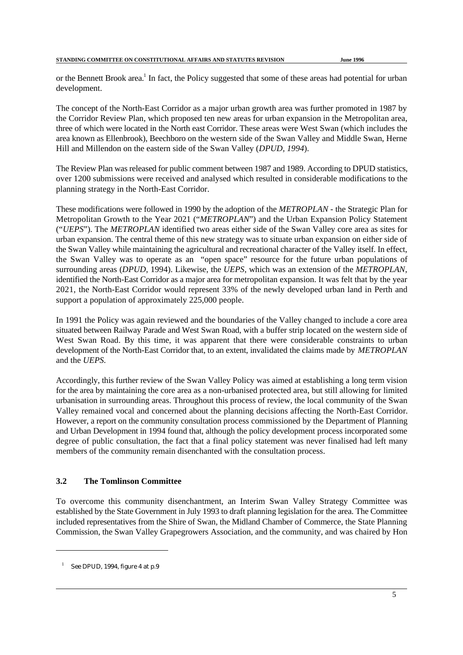or the Bennett Brook area.<sup>1</sup> In fact, the Policy suggested that some of these areas had potential for urban development.

The concept of the North-East Corridor as a major urban growth area was further promoted in 1987 by the Corridor Review Plan, which proposed ten new areas for urban expansion in the Metropolitan area, three of which were located in the North east Corridor. These areas were West Swan (which includes the area known as Ellenbrook), Beechboro on the western side of the Swan Valley and Middle Swan, Herne Hill and Millendon on the eastern side of the Swan Valley (*DPUD, 1994*).

The Review Plan was released for public comment between 1987 and 1989. According to DPUD statistics, over 1200 submissions were received and analysed which resulted in considerable modifications to the planning strategy in the North-East Corridor.

These modifications were followed in 1990 by the adoption of the *METROPLAN* - the Strategic Plan for Metropolitan Growth to the Year 2021 ("*METROPLAN*") and the Urban Expansion Policy Statement ("*UEPS*"). The *METROPLAN* identified two areas either side of the Swan Valley core area as sites for urban expansion. The central theme of this new strategy was to situate urban expansion on either side of the Swan Valley while maintaining the agricultural and recreational character of the Valley itself. In effect, the Swan Valley was to operate as an "open space" resource for the future urban populations of surrounding areas (*DPUD*, 1994). Likewise, the *UEPS*, which was an extension of the *METROPLAN*, identified the North-East Corridor as a major area for metropolitan expansion. It was felt that by the year 2021, the North-East Corridor would represent 33% of the newly developed urban land in Perth and support a population of approximately 225,000 people.

In 1991 the Policy was again reviewed and the boundaries of the Valley changed to include a core area situated between Railway Parade and West Swan Road, with a buffer strip located on the western side of West Swan Road. By this time, it was apparent that there were considerable constraints to urban development of the North-East Corridor that, to an extent, invalidated the claims made by *METROPLAN* and the *UEPS.* 

Accordingly, this further review of the Swan Valley Policy was aimed at establishing a long term vision for the area by maintaining the core area as a non-urbanised protected area, but still allowing for limited urbanisation in surrounding areas. Throughout this process of review, the local community of the Swan Valley remained vocal and concerned about the planning decisions affecting the North-East Corridor. However, a report on the community consultation process commissioned by the Department of Planning and Urban Development in 1994 found that, although the policy development process incorporated some degree of public consultation, the fact that a final policy statement was never finalised had left many members of the community remain disenchanted with the consultation process.

# **3.2 The Tomlinson Committee**

To overcome this community disenchantment, an Interim Swan Valley Strategy Committee was established by the State Government in July 1993 to draft planning legislation for the area. The Committee included representatives from the Shire of Swan, the Midland Chamber of Commerce, the State Planning Commission, the Swan Valley Grapegrowers Association, and the community, and was chaired by Hon

 $\frac{1}{1}$  See *DPUD*, 1994, figure 4 at p.9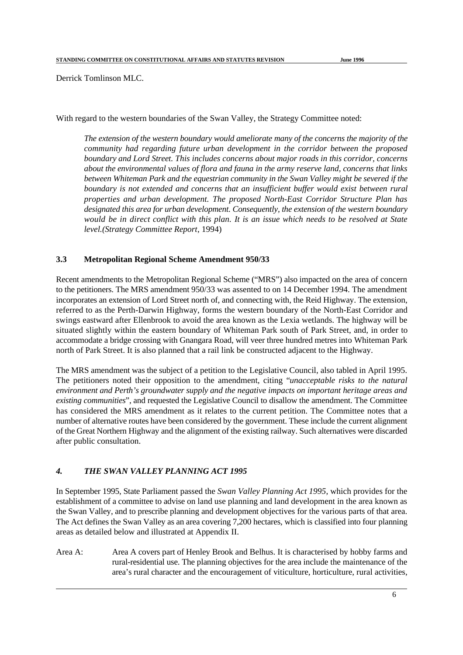Derrick Tomlinson MLC.

With regard to the western boundaries of the Swan Valley, the Strategy Committee noted:

*The extension of the western boundary would ameliorate many of the concerns the majority of the community had regarding future urban development in the corridor between the proposed boundary and Lord Street. This includes concerns about major roads in this corridor, concerns about the environmental values of flora and fauna in the army reserve land, concerns that links between Whiteman Park and the equestrian community in the Swan Valley might be severed if the boundary is not extended and concerns that an insufficient buffer would exist between rural properties and urban development. The proposed North-East Corridor Structure Plan has designated this area for urban development. Consequently, the extension of the western boundary would be in direct conflict with this plan. It is an issue which needs to be resolved at State level.(Strategy Committee Report*, 1994)

## **3.3 Metropolitan Regional Scheme Amendment 950/33**

Recent amendments to the Metropolitan Regional Scheme ("MRS") also impacted on the area of concern to the petitioners. The MRS amendment 950/33 was assented to on 14 December 1994. The amendment incorporates an extension of Lord Street north of, and connecting with, the Reid Highway. The extension, referred to as the Perth-Darwin Highway, forms the western boundary of the North-East Corridor and swings eastward after Ellenbrook to avoid the area known as the Lexia wetlands. The highway will be situated slightly within the eastern boundary of Whiteman Park south of Park Street, and, in order to accommodate a bridge crossing with Gnangara Road, will veer three hundred metres into Whiteman Park north of Park Street. It is also planned that a rail link be constructed adjacent to the Highway.

The MRS amendment was the subject of a petition to the Legislative Council, also tabled in April 1995. The petitioners noted their opposition to the amendment, citing "*unacceptable risks to the natural environment and Perth's groundwater supply and the negative impacts on important heritage areas and existing communities*", and requested the Legislative Council to disallow the amendment. The Committee has considered the MRS amendment as it relates to the current petition. The Committee notes that a number of alternative routes have been considered by the government. These include the current alignment of the Great Northern Highway and the alignment of the existing railway. Such alternatives were discarded after public consultation.

## *4. THE SWAN VALLEY PLANNING ACT 1995*

In September 1995, State Parliament passed the *Swan Valley Planning Act 1995*, which provides for the establishment of a committee to advise on land use planning and land development in the area known as the Swan Valley, and to prescribe planning and development objectives for the various parts of that area. The Act defines the Swan Valley as an area covering 7,200 hectares, which is classified into four planning areas as detailed below and illustrated at Appendix II.

Area A: Area A covers part of Henley Brook and Belhus. It is characterised by hobby farms and rural-residential use. The planning objectives for the area include the maintenance of the area's rural character and the encouragement of viticulture, horticulture, rural activities,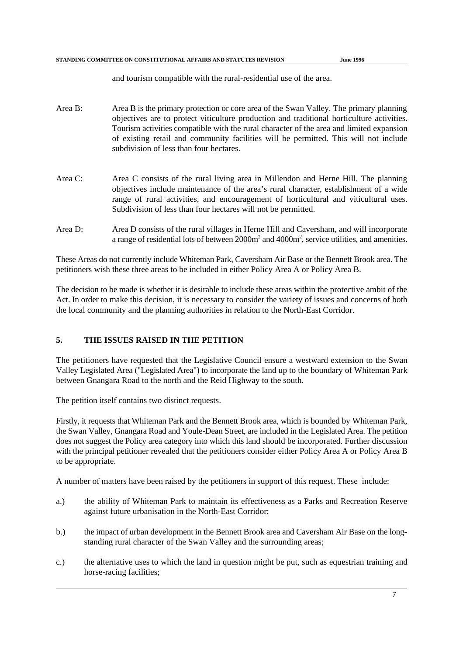and tourism compatible with the rural-residential use of the area.

- Area B: Area B is the primary protection or core area of the Swan Valley. The primary planning objectives are to protect viticulture production and traditional horticulture activities. Tourism activities compatible with the rural character of the area and limited expansion of existing retail and community facilities will be permitted. This will not include subdivision of less than four hectares.
- Area C: Area C consists of the rural living area in Millendon and Herne Hill. The planning objectives include maintenance of the area's rural character, establishment of a wide range of rural activities, and encouragement of horticultural and viticultural uses. Subdivision of less than four hectares will not be permitted.
- Area D: Area D consists of the rural villages in Herne Hill and Caversham, and will incorporate a range of residential lots of between  $2000m<sup>2</sup>$  and  $4000m<sup>2</sup>$ , service utilities, and amenities.

These Areas do not currently include Whiteman Park, Caversham Air Base or the Bennett Brook area. The petitioners wish these three areas to be included in either Policy Area A or Policy Area B.

The decision to be made is whether it is desirable to include these areas within the protective ambit of the Act. In order to make this decision, it is necessary to consider the variety of issues and concerns of both the local community and the planning authorities in relation to the North-East Corridor.

# **5. THE ISSUES RAISED IN THE PETITION**

The petitioners have requested that the Legislative Council ensure a westward extension to the Swan Valley Legislated Area ("Legislated Area") to incorporate the land up to the boundary of Whiteman Park between Gnangara Road to the north and the Reid Highway to the south.

The petition itself contains two distinct requests.

Firstly, it requests that Whiteman Park and the Bennett Brook area, which is bounded by Whiteman Park, the Swan Valley, Gnangara Road and Youle-Dean Street, are included in the Legislated Area. The petition does not suggest the Policy area category into which this land should be incorporated. Further discussion with the principal petitioner revealed that the petitioners consider either Policy Area A or Policy Area B to be appropriate.

A number of matters have been raised by the petitioners in support of this request. These include:

- a.) the ability of Whiteman Park to maintain its effectiveness as a Parks and Recreation Reserve against future urbanisation in the North-East Corridor;
- b.) the impact of urban development in the Bennett Brook area and Caversham Air Base on the longstanding rural character of the Swan Valley and the surrounding areas;
- c.) the alternative uses to which the land in question might be put, such as equestrian training and horse-racing facilities;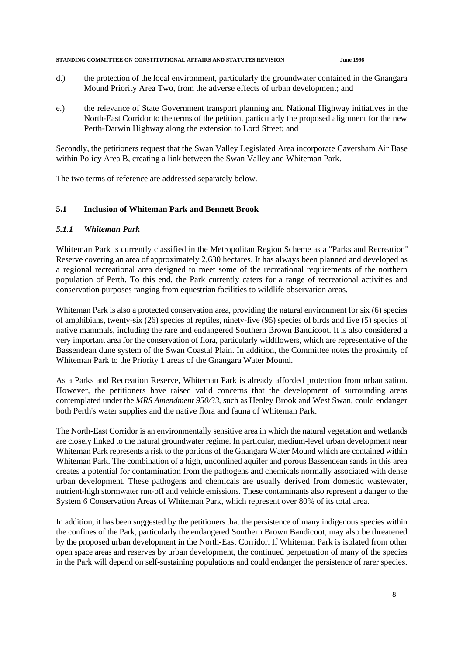| STANDING COMMITTEE ON CONSTITUTIONAL AFFAIRS AND STATUTES REVISION |                  |
|--------------------------------------------------------------------|------------------|
|                                                                    | <b>June 1996</b> |

- d.) the protection of the local environment, particularly the groundwater contained in the Gnangara Mound Priority Area Two, from the adverse effects of urban development; and
- e.) the relevance of State Government transport planning and National Highway initiatives in the North-East Corridor to the terms of the petition, particularly the proposed alignment for the new Perth-Darwin Highway along the extension to Lord Street; and

Secondly, the petitioners request that the Swan Valley Legislated Area incorporate Caversham Air Base within Policy Area B, creating a link between the Swan Valley and Whiteman Park.

The two terms of reference are addressed separately below.

## **5.1 Inclusion of Whiteman Park and Bennett Brook**

## *5.1.1 Whiteman Park*

Whiteman Park is currently classified in the Metropolitan Region Scheme as a "Parks and Recreation" Reserve covering an area of approximately 2,630 hectares. It has always been planned and developed as a regional recreational area designed to meet some of the recreational requirements of the northern population of Perth. To this end, the Park currently caters for a range of recreational activities and conservation purposes ranging from equestrian facilities to wildlife observation areas.

Whiteman Park is also a protected conservation area, providing the natural environment for six (6) species of amphibians, twenty-six (26) species of reptiles, ninety-five (95) species of birds and five (5) species of native mammals, including the rare and endangered Southern Brown Bandicoot. It is also considered a very important area for the conservation of flora, particularly wildflowers, which are representative of the Bassendean dune system of the Swan Coastal Plain. In addition, the Committee notes the proximity of Whiteman Park to the Priority 1 areas of the Gnangara Water Mound.

As a Parks and Recreation Reserve, Whiteman Park is already afforded protection from urbanisation. However, the petitioners have raised valid concerns that the development of surrounding areas contemplated under the *MRS Amendment 950/33*, such as Henley Brook and West Swan, could endanger both Perth's water supplies and the native flora and fauna of Whiteman Park.

The North-East Corridor is an environmentally sensitive area in which the natural vegetation and wetlands are closely linked to the natural groundwater regime. In particular, medium-level urban development near Whiteman Park represents a risk to the portions of the Gnangara Water Mound which are contained within Whiteman Park. The combination of a high, unconfined aquifer and porous Bassendean sands in this area creates a potential for contamination from the pathogens and chemicals normally associated with dense urban development. These pathogens and chemicals are usually derived from domestic wastewater, nutrient-high stormwater run-off and vehicle emissions. These contaminants also represent a danger to the System 6 Conservation Areas of Whiteman Park, which represent over 80% of its total area.

In addition, it has been suggested by the petitioners that the persistence of many indigenous species within the confines of the Park, particularly the endangered Southern Brown Bandicoot, may also be threatened by the proposed urban development in the North-East Corridor. If Whiteman Park is isolated from other open space areas and reserves by urban development, the continued perpetuation of many of the species in the Park will depend on self-sustaining populations and could endanger the persistence of rarer species.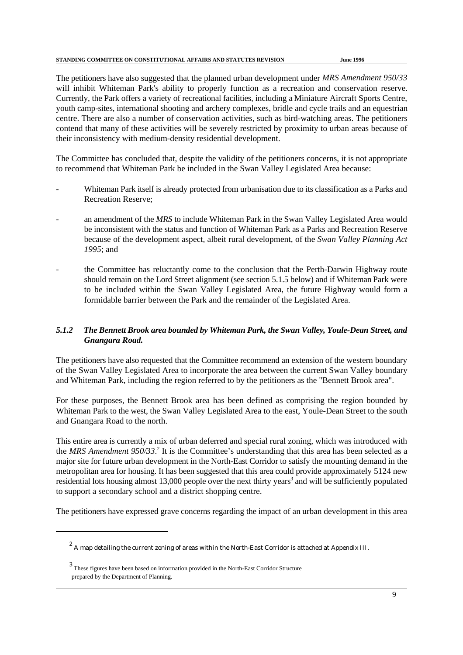The petitioners have also suggested that the planned urban development under *MRS Amendment 950/33* will inhibit Whiteman Park's ability to properly function as a recreation and conservation reserve. Currently, the Park offers a variety of recreational facilities, including a Miniature Aircraft Sports Centre, youth camp-sites, international shooting and archery complexes, bridle and cycle trails and an equestrian centre. There are also a number of conservation activities, such as bird-watching areas. The petitioners contend that many of these activities will be severely restricted by proximity to urban areas because of their inconsistency with medium-density residential development.

The Committee has concluded that, despite the validity of the petitioners concerns, it is not appropriate to recommend that Whiteman Park be included in the Swan Valley Legislated Area because:

- Whiteman Park itself is already protected from urbanisation due to its classification as a Parks and Recreation Reserve;
- an amendment of the *MRS* to include Whiteman Park in the Swan Valley Legislated Area would be inconsistent with the status and function of Whiteman Park as a Parks and Recreation Reserve because of the development aspect, albeit rural development, of the *Swan Valley Planning Act 1995*; and
- the Committee has reluctantly come to the conclusion that the Perth-Darwin Highway route should remain on the Lord Street alignment (see section 5.1.5 below) and if Whiteman Park were to be included within the Swan Valley Legislated Area, the future Highway would form a formidable barrier between the Park and the remainder of the Legislated Area.

## *5.1.2 The Bennett Brook area bounded by Whiteman Park, the Swan Valley, Youle-Dean Street, and Gnangara Road.*

The petitioners have also requested that the Committee recommend an extension of the western boundary of the Swan Valley Legislated Area to incorporate the area between the current Swan Valley boundary and Whiteman Park, including the region referred to by the petitioners as the "Bennett Brook area".

For these purposes, the Bennett Brook area has been defined as comprising the region bounded by Whiteman Park to the west, the Swan Valley Legislated Area to the east, Youle-Dean Street to the south and Gnangara Road to the north.

This entire area is currently a mix of urban deferred and special rural zoning, which was introduced with the *MRS Amendment 950/33*.<sup>2</sup> It is the Committee's understanding that this area has been selected as a major site for future urban development in the North-East Corridor to satisfy the mounting demand in the metropolitan area for housing. It has been suggested that this area could provide approximately 5124 new residential lots housing almost 13,000 people over the next thirty years<sup>3</sup> and will be sufficiently populated to support a secondary school and a district shopping centre.

The petitioners have expressed grave concerns regarding the impact of an urban development in this area

 $\degree$  A map detailing the current zoning of areas within the North-East Corridor is attached at Appendix III.

These figures have been based on information provided in the North-East Corridor Structure <sup>3</sup> prepared by the Department of Planning.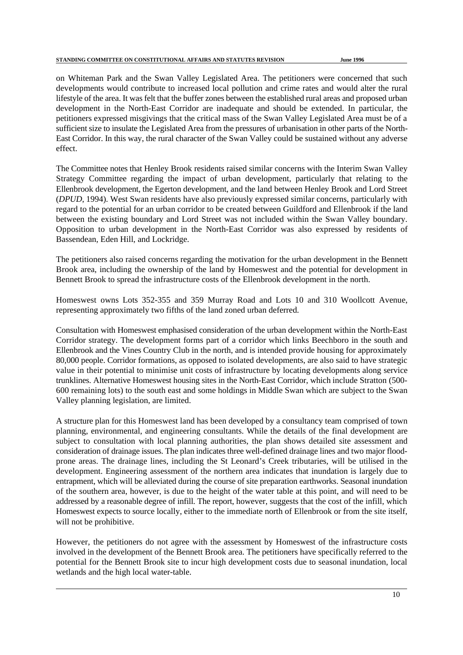on Whiteman Park and the Swan Valley Legislated Area. The petitioners were concerned that such developments would contribute to increased local pollution and crime rates and would alter the rural lifestyle of the area. It was felt that the buffer zones between the established rural areas and proposed urban development in the North-East Corridor are inadequate and should be extended. In particular, the petitioners expressed misgivings that the critical mass of the Swan Valley Legislated Area must be of a sufficient size to insulate the Legislated Area from the pressures of urbanisation in other parts of the North-East Corridor. In this way, the rural character of the Swan Valley could be sustained without any adverse effect.

The Committee notes that Henley Brook residents raised similar concerns with the Interim Swan Valley Strategy Committee regarding the impact of urban development, particularly that relating to the Ellenbrook development, the Egerton development, and the land between Henley Brook and Lord Street (*DPUD*, 1994). West Swan residents have also previously expressed similar concerns, particularly with regard to the potential for an urban corridor to be created between Guildford and Ellenbrook if the land between the existing boundary and Lord Street was not included within the Swan Valley boundary. Opposition to urban development in the North-East Corridor was also expressed by residents of Bassendean, Eden Hill, and Lockridge.

The petitioners also raised concerns regarding the motivation for the urban development in the Bennett Brook area, including the ownership of the land by Homeswest and the potential for development in Bennett Brook to spread the infrastructure costs of the Ellenbrook development in the north.

Homeswest owns Lots 352-355 and 359 Murray Road and Lots 10 and 310 Woollcott Avenue, representing approximately two fifths of the land zoned urban deferred.

Consultation with Homeswest emphasised consideration of the urban development within the North-East Corridor strategy. The development forms part of a corridor which links Beechboro in the south and Ellenbrook and the Vines Country Club in the north, and is intended provide housing for approximately 80,000 people. Corridor formations, as opposed to isolated developments, are also said to have strategic value in their potential to minimise unit costs of infrastructure by locating developments along service trunklines. Alternative Homeswest housing sites in the North-East Corridor, which include Stratton (500- 600 remaining lots) to the south east and some holdings in Middle Swan which are subject to the Swan Valley planning legislation, are limited.

A structure plan for this Homeswest land has been developed by a consultancy team comprised of town planning, environmental, and engineering consultants. While the details of the final development are subject to consultation with local planning authorities, the plan shows detailed site assessment and consideration of drainage issues. The plan indicates three well-defined drainage lines and two major floodprone areas. The drainage lines, including the St Leonard's Creek tributaries, will be utilised in the development. Engineering assessment of the northern area indicates that inundation is largely due to entrapment, which will be alleviated during the course of site preparation earthworks. Seasonal inundation of the southern area, however, is due to the height of the water table at this point, and will need to be addressed by a reasonable degree of infill. The report, however, suggests that the cost of the infill, which Homeswest expects to source locally, either to the immediate north of Ellenbrook or from the site itself, will not be prohibitive.

However, the petitioners do not agree with the assessment by Homeswest of the infrastructure costs involved in the development of the Bennett Brook area. The petitioners have specifically referred to the potential for the Bennett Brook site to incur high development costs due to seasonal inundation, local wetlands and the high local water-table.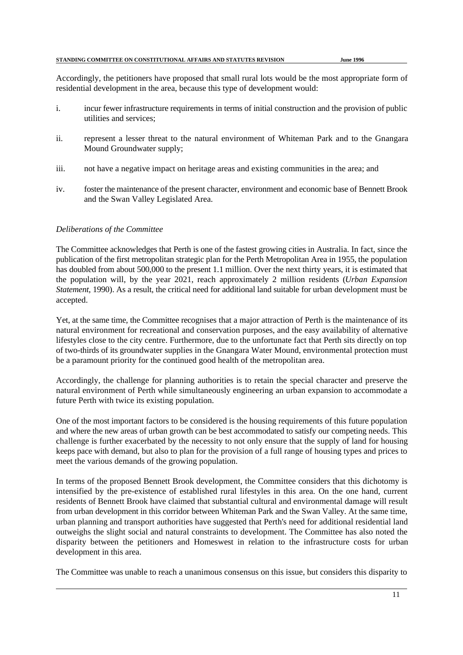Accordingly, the petitioners have proposed that small rural lots would be the most appropriate form of residential development in the area, because this type of development would:

- i. incur fewer infrastructure requirements in terms of initial construction and the provision of public utilities and services;
- ii. represent a lesser threat to the natural environment of Whiteman Park and to the Gnangara Mound Groundwater supply;
- iii. not have a negative impact on heritage areas and existing communities in the area; and
- iv. foster the maintenance of the present character, environment and economic base of Bennett Brook and the Swan Valley Legislated Area.

## *Deliberations of the Committee*

The Committee acknowledges that Perth is one of the fastest growing cities in Australia. In fact, since the publication of the first metropolitan strategic plan for the Perth Metropolitan Area in 1955, the population has doubled from about 500,000 to the present 1.1 million. Over the next thirty years, it is estimated that the population will, by the year 2021, reach approximately 2 million residents (*Urban Expansion Statement*, 1990). As a result, the critical need for additional land suitable for urban development must be accepted.

Yet, at the same time, the Committee recognises that a major attraction of Perth is the maintenance of its natural environment for recreational and conservation purposes, and the easy availability of alternative lifestyles close to the city centre. Furthermore, due to the unfortunate fact that Perth sits directly on top of two-thirds of its groundwater supplies in the Gnangara Water Mound, environmental protection must be a paramount priority for the continued good health of the metropolitan area.

Accordingly, the challenge for planning authorities is to retain the special character and preserve the natural environment of Perth while simultaneously engineering an urban expansion to accommodate a future Perth with twice its existing population.

One of the most important factors to be considered is the housing requirements of this future population and where the new areas of urban growth can be best accommodated to satisfy our competing needs. This challenge is further exacerbated by the necessity to not only ensure that the supply of land for housing keeps pace with demand, but also to plan for the provision of a full range of housing types and prices to meet the various demands of the growing population.

In terms of the proposed Bennett Brook development, the Committee considers that this dichotomy is intensified by the pre-existence of established rural lifestyles in this area. On the one hand, current residents of Bennett Brook have claimed that substantial cultural and environmental damage will result from urban development in this corridor between Whiteman Park and the Swan Valley. At the same time, urban planning and transport authorities have suggested that Perth's need for additional residential land outweighs the slight social and natural constraints to development. The Committee has also noted the disparity between the petitioners and Homeswest in relation to the infrastructure costs for urban development in this area.

The Committee was unable to reach a unanimous consensus on this issue, but considers this disparity to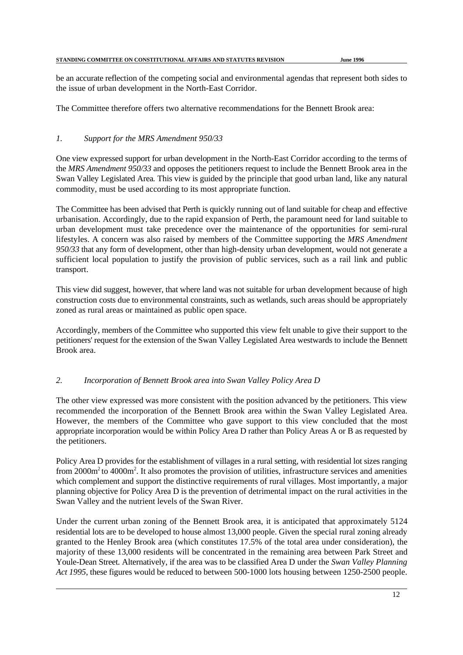be an accurate reflection of the competing social and environmental agendas that represent both sides to the issue of urban development in the North-East Corridor.

The Committee therefore offers two alternative recommendations for the Bennett Brook area:

## *1. Support for the MRS Amendment 950/33*

One view expressed support for urban development in the North-East Corridor according to the terms of the *MRS Amendment 950/33* and opposes the petitioners request to include the Bennett Brook area in the Swan Valley Legislated Area*.* This view is guided by the principle that good urban land, like any natural commodity, must be used according to its most appropriate function.

The Committee has been advised that Perth is quickly running out of land suitable for cheap and effective urbanisation. Accordingly, due to the rapid expansion of Perth, the paramount need for land suitable to urban development must take precedence over the maintenance of the opportunities for semi-rural lifestyles. A concern was also raised by members of the Committee supporting the *MRS Amendment 950/33* that any form of development, other than high-density urban development, would not generate a sufficient local population to justify the provision of public services, such as a rail link and public transport.

This view did suggest, however, that where land was not suitable for urban development because of high construction costs due to environmental constraints, such as wetlands, such areas should be appropriately zoned as rural areas or maintained as public open space.

Accordingly, members of the Committee who supported this view felt unable to give their support to the petitioners' request for the extension of the Swan Valley Legislated Area westwards to include the Bennett Brook area.

## *2. Incorporation of Bennett Brook area into Swan Valley Policy Area D*

The other view expressed was more consistent with the position advanced by the petitioners. This view recommended the incorporation of the Bennett Brook area within the Swan Valley Legislated Area. However, the members of the Committee who gave support to this view concluded that the most appropriate incorporation would be within Policy Area D rather than Policy Areas A or B as requested by the petitioners.

Policy Area D provides for the establishment of villages in a rural setting, with residential lot sizes ranging from  $2000m^2$  to  $4000m^2$ . It also promotes the provision of utilities, infrastructure services and amenities which complement and support the distinctive requirements of rural villages. Most importantly, a major planning objective for Policy Area D is the prevention of detrimental impact on the rural activities in the Swan Valley and the nutrient levels of the Swan River.

Under the current urban zoning of the Bennett Brook area, it is anticipated that approximately 5124 residential lots are to be developed to house almost 13,000 people. Given the special rural zoning already granted to the Henley Brook area (which constitutes 17.5% of the total area under consideration), the majority of these 13,000 residents will be concentrated in the remaining area between Park Street and Youle-Dean Street. Alternatively, if the area was to be classified Area D under the *Swan Valley Planning Act 1995*, these figures would be reduced to between 500-1000 lots housing between 1250-2500 people.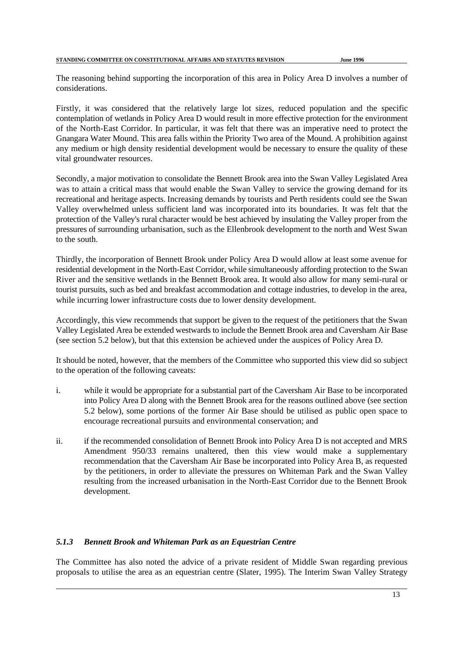The reasoning behind supporting the incorporation of this area in Policy Area D involves a number of considerations.

Firstly, it was considered that the relatively large lot sizes, reduced population and the specific contemplation of wetlands in Policy Area D would result in more effective protection for the environment of the North-East Corridor. In particular, it was felt that there was an imperative need to protect the Gnangara Water Mound. This area falls within the Priority Two area of the Mound. A prohibition against any medium or high density residential development would be necessary to ensure the quality of these vital groundwater resources.

Secondly, a major motivation to consolidate the Bennett Brook area into the Swan Valley Legislated Area was to attain a critical mass that would enable the Swan Valley to service the growing demand for its recreational and heritage aspects. Increasing demands by tourists and Perth residents could see the Swan Valley overwhelmed unless sufficient land was incorporated into its boundaries. It was felt that the protection of the Valley's rural character would be best achieved by insulating the Valley proper from the pressures of surrounding urbanisation, such as the Ellenbrook development to the north and West Swan to the south.

Thirdly, the incorporation of Bennett Brook under Policy Area D would allow at least some avenue for residential development in the North-East Corridor, while simultaneously affording protection to the Swan River and the sensitive wetlands in the Bennett Brook area. It would also allow for many semi-rural or tourist pursuits, such as bed and breakfast accommodation and cottage industries, to develop in the area, while incurring lower infrastructure costs due to lower density development.

Accordingly, this view recommends that support be given to the request of the petitioners that the Swan Valley Legislated Area be extended westwards to include the Bennett Brook area and Caversham Air Base (see section 5.2 below), but that this extension be achieved under the auspices of Policy Area D.

It should be noted, however, that the members of the Committee who supported this view did so subject to the operation of the following caveats:

- i. while it would be appropriate for a substantial part of the Caversham Air Base to be incorporated into Policy Area D along with the Bennett Brook area for the reasons outlined above (see section 5.2 below), some portions of the former Air Base should be utilised as public open space to encourage recreational pursuits and environmental conservation; and
- ii. if the recommended consolidation of Bennett Brook into Policy Area D is not accepted and MRS Amendment 950/33 remains unaltered, then this view would make a supplementary recommendation that the Caversham Air Base be incorporated into Policy Area B, as requested by the petitioners, in order to alleviate the pressures on Whiteman Park and the Swan Valley resulting from the increased urbanisation in the North-East Corridor due to the Bennett Brook development.

## *5.1.3 Bennett Brook and Whiteman Park as an Equestrian Centre*

The Committee has also noted the advice of a private resident of Middle Swan regarding previous proposals to utilise the area as an equestrian centre (Slater, 1995). The Interim Swan Valley Strategy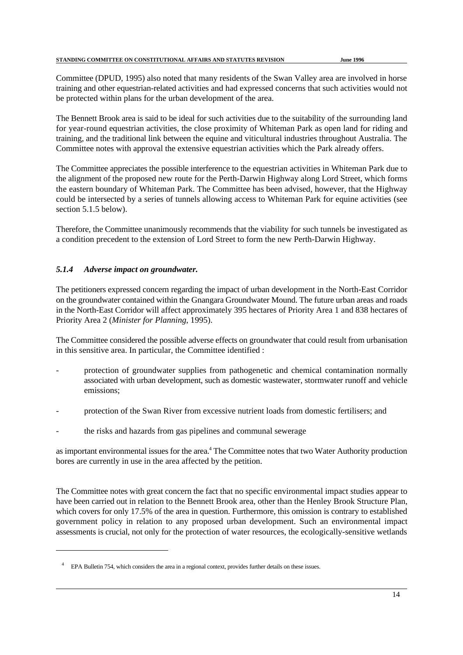Committee (DPUD, 1995) also noted that many residents of the Swan Valley area are involved in horse training and other equestrian-related activities and had expressed concerns that such activities would not be protected within plans for the urban development of the area.

The Bennett Brook area is said to be ideal for such activities due to the suitability of the surrounding land for year-round equestrian activities, the close proximity of Whiteman Park as open land for riding and training, and the traditional link between the equine and viticultural industries throughout Australia. The Committee notes with approval the extensive equestrian activities which the Park already offers.

The Committee appreciates the possible interference to the equestrian activities in Whiteman Park due to the alignment of the proposed new route for the Perth-Darwin Highway along Lord Street, which forms the eastern boundary of Whiteman Park. The Committee has been advised, however, that the Highway could be intersected by a series of tunnels allowing access to Whiteman Park for equine activities (see section 5.1.5 below).

Therefore, the Committee unanimously recommends that the viability for such tunnels be investigated as a condition precedent to the extension of Lord Street to form the new Perth-Darwin Highway.

## *5.1.4 Adverse impact on groundwater.*

The petitioners expressed concern regarding the impact of urban development in the North-East Corridor on the groundwater contained within the Gnangara Groundwater Mound. The future urban areas and roads in the North-East Corridor will affect approximately 395 hectares of Priority Area 1 and 838 hectares of Priority Area 2 (*Minister for Planning*, 1995).

The Committee considered the possible adverse effects on groundwater that could result from urbanisation in this sensitive area. In particular, the Committee identified :

- protection of groundwater supplies from pathogenetic and chemical contamination normally associated with urban development, such as domestic wastewater, stormwater runoff and vehicle emissions;
- protection of the Swan River from excessive nutrient loads from domestic fertilisers; and
- the risks and hazards from gas pipelines and communal sewerage

as important environmental issues for the area.<sup>4</sup> The Committee notes that two Water Authority production bores are currently in use in the area affected by the petition.

The Committee notes with great concern the fact that no specific environmental impact studies appear to have been carried out in relation to the Bennett Brook area, other than the Henley Brook Structure Plan, which covers for only 17.5% of the area in question. Furthermore, this omission is contrary to established government policy in relation to any proposed urban development. Such an environmental impact assessments is crucial, not only for the protection of water resources, the ecologically-sensitive wetlands

<sup>&</sup>lt;sup>4</sup> EPA Bulletin 754, which considers the area in a regional context, provides further details on these issues.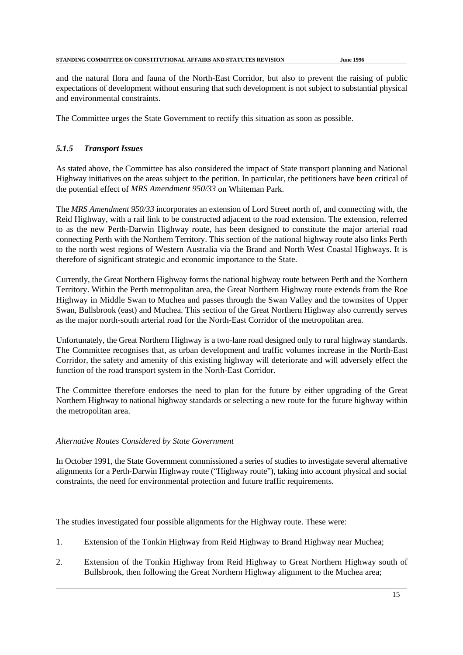and the natural flora and fauna of the North-East Corridor, but also to prevent the raising of public expectations of development without ensuring that such development is not subject to substantial physical and environmental constraints.

The Committee urges the State Government to rectify this situation as soon as possible.

# *5.1.5 Transport Issues*

As stated above, the Committee has also considered the impact of State transport planning and National Highway initiatives on the areas subject to the petition. In particular, the petitioners have been critical of the potential effect of *MRS Amendment 950/33* on Whiteman Park.

The *MRS Amendment 950/33* incorporates an extension of Lord Street north of, and connecting with, the Reid Highway, with a rail link to be constructed adjacent to the road extension. The extension, referred to as the new Perth-Darwin Highway route, has been designed to constitute the major arterial road connecting Perth with the Northern Territory. This section of the national highway route also links Perth to the north west regions of Western Australia via the Brand and North West Coastal Highways. It is therefore of significant strategic and economic importance to the State.

Currently, the Great Northern Highway forms the national highway route between Perth and the Northern Territory. Within the Perth metropolitan area, the Great Northern Highway route extends from the Roe Highway in Middle Swan to Muchea and passes through the Swan Valley and the townsites of Upper Swan, Bullsbrook (east) and Muchea. This section of the Great Northern Highway also currently serves as the major north-south arterial road for the North-East Corridor of the metropolitan area.

Unfortunately, the Great Northern Highway is a two-lane road designed only to rural highway standards. The Committee recognises that, as urban development and traffic volumes increase in the North-East Corridor, the safety and amenity of this existing highway will deteriorate and will adversely effect the function of the road transport system in the North-East Corridor.

The Committee therefore endorses the need to plan for the future by either upgrading of the Great Northern Highway to national highway standards or selecting a new route for the future highway within the metropolitan area.

## *Alternative Routes Considered by State Government*

In October 1991, the State Government commissioned a series of studies to investigate several alternative alignments for a Perth-Darwin Highway route ("Highway route"), taking into account physical and social constraints, the need for environmental protection and future traffic requirements.

The studies investigated four possible alignments for the Highway route. These were:

- 1. Extension of the Tonkin Highway from Reid Highway to Brand Highway near Muchea;
- 2. Extension of the Tonkin Highway from Reid Highway to Great Northern Highway south of Bullsbrook, then following the Great Northern Highway alignment to the Muchea area;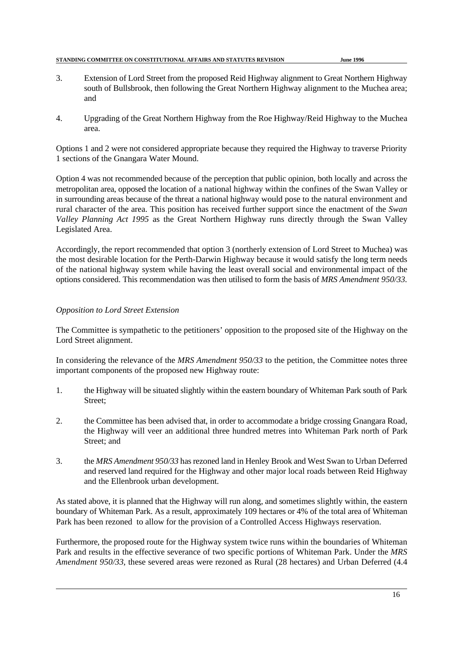- 3. Extension of Lord Street from the proposed Reid Highway alignment to Great Northern Highway south of Bullsbrook, then following the Great Northern Highway alignment to the Muchea area; and
- 4. Upgrading of the Great Northern Highway from the Roe Highway/Reid Highway to the Muchea area.

Options 1 and 2 were not considered appropriate because they required the Highway to traverse Priority 1 sections of the Gnangara Water Mound.

Option 4 was not recommended because of the perception that public opinion, both locally and across the metropolitan area, opposed the location of a national highway within the confines of the Swan Valley or in surrounding areas because of the threat a national highway would pose to the natural environment and rural character of the area. This position has received further support since the enactment of the *Swan Valley Planning Act 1995* as the Great Northern Highway runs directly through the Swan Valley Legislated Area.

Accordingly, the report recommended that option 3 (northerly extension of Lord Street to Muchea) was the most desirable location for the Perth-Darwin Highway because it would satisfy the long term needs of the national highway system while having the least overall social and environmental impact of the options considered. This recommendation was then utilised to form the basis of *MRS Amendment 950/33.*

## *Opposition to Lord Street Extension*

The Committee is sympathetic to the petitioners' opposition to the proposed site of the Highway on the Lord Street alignment.

In considering the relevance of the *MRS Amendment 950/33* to the petition, the Committee notes three important components of the proposed new Highway route:

- 1. the Highway will be situated slightly within the eastern boundary of Whiteman Park south of Park Street;
- 2. the Committee has been advised that, in order to accommodate a bridge crossing Gnangara Road, the Highway will veer an additional three hundred metres into Whiteman Park north of Park Street; and
- 3. the *MRS Amendment 950/33* has rezoned land in Henley Brook and West Swan to Urban Deferred and reserved land required for the Highway and other major local roads between Reid Highway and the Ellenbrook urban development.

As stated above, it is planned that the Highway will run along, and sometimes slightly within, the eastern boundary of Whiteman Park. As a result, approximately 109 hectares or 4% of the total area of Whiteman Park has been rezoned to allow for the provision of a Controlled Access Highways reservation.

Furthermore, the proposed route for the Highway system twice runs within the boundaries of Whiteman Park and results in the effective severance of two specific portions of Whiteman Park. Under the *MRS Amendment 950/33*, these severed areas were rezoned as Rural (28 hectares) and Urban Deferred (4.4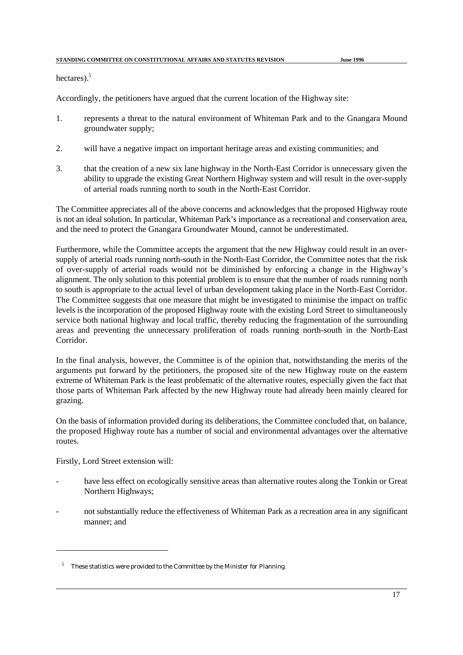hectares). $5$ 

Accordingly, the petitioners have argued that the current location of the Highway site:

- 1. represents a threat to the natural environment of Whiteman Park and to the Gnangara Mound groundwater supply;
- 2. will have a negative impact on important heritage areas and existing communities; and
- 3. that the creation of a new six lane highway in the North-East Corridor is unnecessary given the ability to upgrade the existing Great Northern Highway system and will result in the over-supply of arterial roads running north to south in the North-East Corridor.

The Committee appreciates all of the above concerns and acknowledges that the proposed Highway route is not an ideal solution. In particular, Whiteman Park's importance as a recreational and conservation area, and the need to protect the Gnangara Groundwater Mound, cannot be underestimated.

Furthermore, while the Committee accepts the argument that the new Highway could result in an oversupply of arterial roads running north-south in the North-East Corridor, the Committee notes that the risk of over-supply of arterial roads would not be diminished by enforcing a change in the Highway's alignment. The only solution to this potential problem is to ensure that the number of roads running north to south is appropriate to the actual level of urban development taking place in the North-East Corridor. The Committee suggests that one measure that might be investigated to minimise the impact on traffic levels is the incorporation of the proposed Highway route with the existing Lord Street to simultaneously service both national highway and local traffic, thereby reducing the fragmentation of the surrounding areas and preventing the unnecessary proliferation of roads running north-south in the North-East Corridor.

In the final analysis, however, the Committee is of the opinion that, notwithstanding the merits of the arguments put forward by the petitioners, the proposed site of the new Highway route on the eastern extreme of Whiteman Park is the least problematic of the alternative routes, especially given the fact that those parts of Whiteman Park affected by the new Highway route had already been mainly cleared for grazing.

On the basis of information provided during its deliberations, the Committee concluded that, on balance, the proposed Highway route has a number of social and environmental advantages over the alternative routes.

Firstly, Lord Street extension will:

- have less effect on ecologically sensitive areas than alternative routes along the Tonkin or Great Northern Highways;
- not substantially reduce the effectiveness of Whiteman Park as a recreation area in any significant manner; and

<sup>&</sup>lt;sup>5</sup> These statistics were provided to the Committee by the Minister for Planning.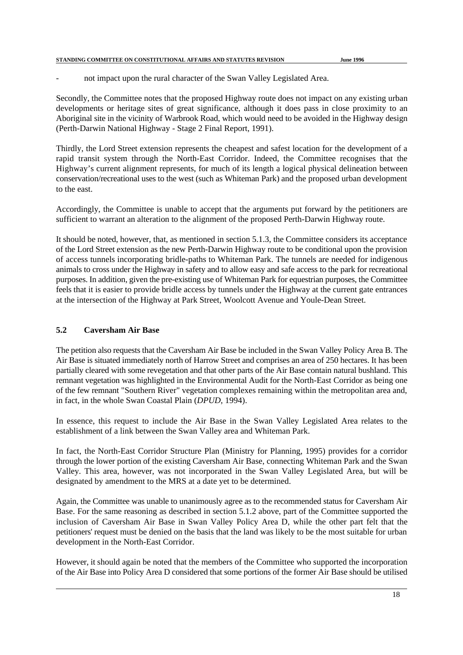not impact upon the rural character of the Swan Valley Legislated Area.

Secondly, the Committee notes that the proposed Highway route does not impact on any existing urban developments or heritage sites of great significance, although it does pass in close proximity to an Aboriginal site in the vicinity of Warbrook Road, which would need to be avoided in the Highway design (Perth-Darwin National Highway - Stage 2 Final Report, 1991).

Thirdly, the Lord Street extension represents the cheapest and safest location for the development of a rapid transit system through the North-East Corridor. Indeed, the Committee recognises that the Highway's current alignment represents, for much of its length a logical physical delineation between conservation/recreational uses to the west (such as Whiteman Park) and the proposed urban development to the east.

Accordingly, the Committee is unable to accept that the arguments put forward by the petitioners are sufficient to warrant an alteration to the alignment of the proposed Perth-Darwin Highway route.

It should be noted, however, that, as mentioned in section 5.1.3, the Committee considers its acceptance of the Lord Street extension as the new Perth-Darwin Highway route to be conditional upon the provision of access tunnels incorporating bridle-paths to Whiteman Park. The tunnels are needed for indigenous animals to cross under the Highway in safety and to allow easy and safe access to the park for recreational purposes. In addition, given the pre-existing use of Whiteman Park for equestrian purposes, the Committee feels that it is easier to provide bridle access by tunnels under the Highway at the current gate entrances at the intersection of the Highway at Park Street, Woolcott Avenue and Youle-Dean Street.

# **5.2 Caversham Air Base**

The petition also requests that the Caversham Air Base be included in the Swan Valley Policy Area B. The Air Base is situated immediately north of Harrow Street and comprises an area of 250 hectares. It has been partially cleared with some revegetation and that other parts of the Air Base contain natural bushland. This remnant vegetation was highlighted in the Environmental Audit for the North-East Corridor as being one of the few remnant "Southern River" vegetation complexes remaining within the metropolitan area and, in fact, in the whole Swan Coastal Plain (*DPUD*, 1994).

In essence, this request to include the Air Base in the Swan Valley Legislated Area relates to the establishment of a link between the Swan Valley area and Whiteman Park.

In fact, the North-East Corridor Structure Plan (Ministry for Planning, 1995) provides for a corridor through the lower portion of the existing Caversham Air Base, connecting Whiteman Park and the Swan Valley. This area, however, was not incorporated in the Swan Valley Legislated Area, but will be designated by amendment to the MRS at a date yet to be determined.

Again, the Committee was unable to unanimously agree as to the recommended status for Caversham Air Base. For the same reasoning as described in section 5.1.2 above, part of the Committee supported the inclusion of Caversham Air Base in Swan Valley Policy Area D, while the other part felt that the petitioners' request must be denied on the basis that the land was likely to be the most suitable for urban development in the North-East Corridor.

However, it should again be noted that the members of the Committee who supported the incorporation of the Air Base into Policy Area D considered that some portions of the former Air Base should be utilised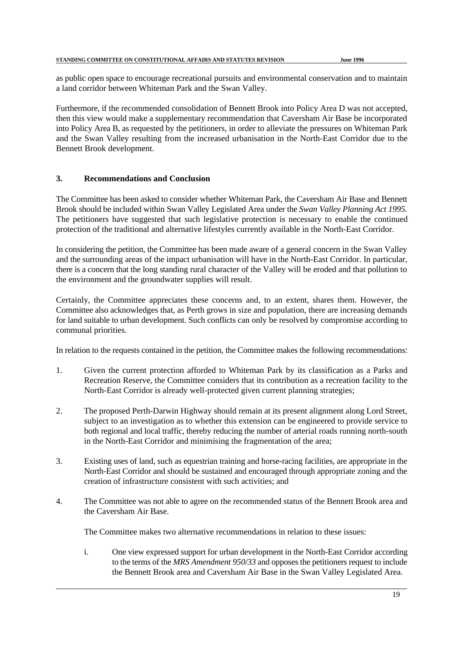as public open space to encourage recreational pursuits and environmental conservation and to maintain a land corridor between Whiteman Park and the Swan Valley.

Furthermore, if the recommended consolidation of Bennett Brook into Policy Area D was not accepted, then this view would make a supplementary recommendation that Caversham Air Base be incorporated into Policy Area B, as requested by the petitioners, in order to alleviate the pressures on Whiteman Park and the Swan Valley resulting from the increased urbanisation in the North-East Corridor due to the Bennett Brook development.

# **3. Recommendations and Conclusion**

The Committee has been asked to consider whether Whiteman Park, the Caversham Air Base and Bennett Brook should be included within Swan Valley Legislated Area under the *Swan Valley Planning Act 1995.* The petitioners have suggested that such legislative protection is necessary to enable the continued protection of the traditional and alternative lifestyles currently available in the North-East Corridor.

In considering the petition, the Committee has been made aware of a general concern in the Swan Valley and the surrounding areas of the impact urbanisation will have in the North-East Corridor. In particular, there is a concern that the long standing rural character of the Valley will be eroded and that pollution to the environment and the groundwater supplies will result.

Certainly, the Committee appreciates these concerns and, to an extent, shares them. However, the Committee also acknowledges that, as Perth grows in size and population, there are increasing demands for land suitable to urban development. Such conflicts can only be resolved by compromise according to communal priorities.

In relation to the requests contained in the petition, the Committee makes the following recommendations:

- 1. Given the current protection afforded to Whiteman Park by its classification as a Parks and Recreation Reserve, the Committee considers that its contribution as a recreation facility to the North-East Corridor is already well-protected given current planning strategies;
- 2. The proposed Perth-Darwin Highway should remain at its present alignment along Lord Street, subject to an investigation as to whether this extension can be engineered to provide service to both regional and local traffic, thereby reducing the number of arterial roads running north-south in the North-East Corridor and minimising the fragmentation of the area;
- 3. Existing uses of land, such as equestrian training and horse-racing facilities, are appropriate in the North-East Corridor and should be sustained and encouraged through appropriate zoning and the creation of infrastructure consistent with such activities; and
- 4. The Committee was not able to agree on the recommended status of the Bennett Brook area and the Caversham Air Base.

The Committee makes two alternative recommendations in relation to these issues:

i. One view expressed support for urban development in the North-East Corridor according to the terms of the *MRS Amendment 950/33* and opposes the petitioners request to include the Bennett Brook area and Caversham Air Base in the Swan Valley Legislated Area*.*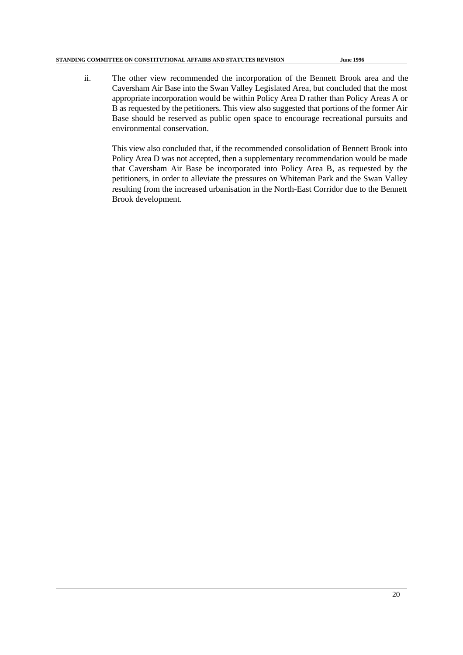ii. The other view recommended the incorporation of the Bennett Brook area and the Caversham Air Base into the Swan Valley Legislated Area, but concluded that the most appropriate incorporation would be within Policy Area D rather than Policy Areas A or B as requested by the petitioners. This view also suggested that portions of the former Air Base should be reserved as public open space to encourage recreational pursuits and environmental conservation.

This view also concluded that, if the recommended consolidation of Bennett Brook into Policy Area D was not accepted, then a supplementary recommendation would be made that Caversham Air Base be incorporated into Policy Area B, as requested by the petitioners, in order to alleviate the pressures on Whiteman Park and the Swan Valley resulting from the increased urbanisation in the North-East Corridor due to the Bennett Brook development.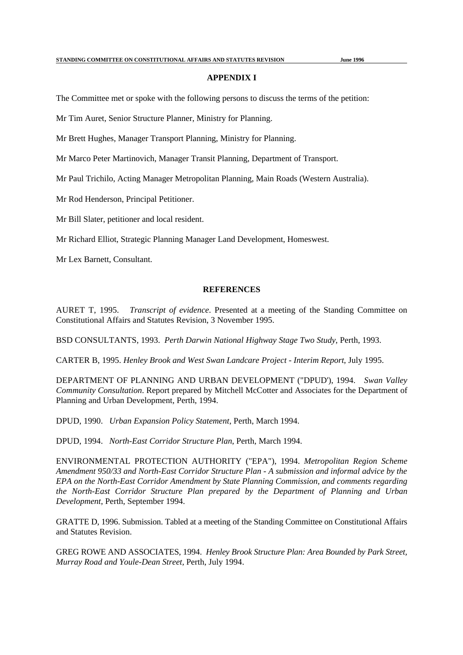#### **APPENDIX I**

The Committee met or spoke with the following persons to discuss the terms of the petition:

Mr Tim Auret, Senior Structure Planner, Ministry for Planning.

Mr Brett Hughes, Manager Transport Planning, Ministry for Planning.

Mr Marco Peter Martinovich, Manager Transit Planning, Department of Transport.

Mr Paul Trichilo, Acting Manager Metropolitan Planning, Main Roads (Western Australia).

Mr Rod Henderson, Principal Petitioner.

Mr Bill Slater, petitioner and local resident.

Mr Richard Elliot, Strategic Planning Manager Land Development, Homeswest.

Mr Lex Barnett, Consultant.

#### **REFERENCES**

AURET T, 1995. *Transcript of evidence*. Presented at a meeting of the Standing Committee on Constitutional Affairs and Statutes Revision, 3 November 1995.

BSD CONSULTANTS, 1993. *Perth Darwin National Highway Stage Two Study*, Perth, 1993.

CARTER B, 1995. *Henley Brook and West Swan Landcare Project - Interim Report*, July 1995.

DEPARTMENT OF PLANNING AND URBAN DEVELOPMENT ("DPUD'), 1994. *Swan Valley Community Consultation*. Report prepared by Mitchell McCotter and Associates for the Department of Planning and Urban Development, Perth, 1994.

DPUD, 1990. *Urban Expansion Policy Statement*, Perth, March 1994.

DPUD, 1994. *North-East Corridor Structure Plan*, Perth, March 1994.

ENVIRONMENTAL PROTECTION AUTHORITY ("EPA"), 1994. *Metropolitan Region Scheme Amendment 950/33 and North-East Corridor Structure Plan - A submission and informal advice by the EPA on the North-East Corridor Amendment by State Planning Commission, and comments regarding the North-East Corridor Structure Plan prepared by the Department of Planning and Urban Development*, Perth, September 1994.

GRATTE D, 1996. Submission. Tabled at a meeting of the Standing Committee on Constitutional Affairs and Statutes Revision.

GREG ROWE AND ASSOCIATES, 1994. *Henley Brook Structure Plan: Area Bounded by Park Street, Murray Road and Youle-Dean Street,* Perth, July 1994.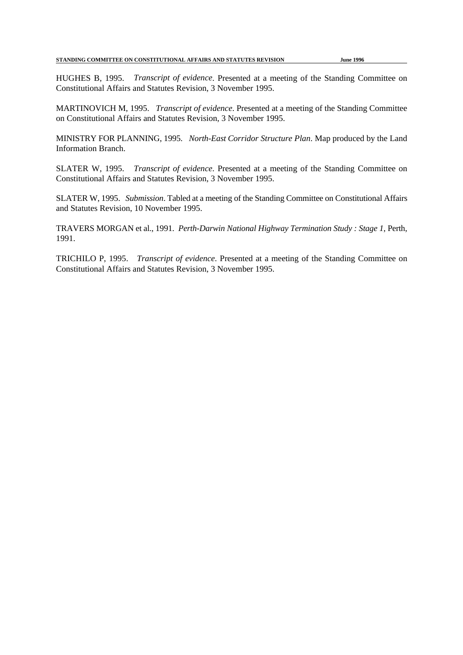HUGHES B, 1995. *Transcript of evidence*. Presented at a meeting of the Standing Committee on Constitutional Affairs and Statutes Revision, 3 November 1995.

MARTINOVICH M, 1995. *Transcript of evidence*. Presented at a meeting of the Standing Committee on Constitutional Affairs and Statutes Revision, 3 November 1995.

MINISTRY FOR PLANNING, 1995. *North-East Corridor Structure Plan*. Map produced by the Land Information Branch.

SLATER W, 1995. *Transcript of evidence*. Presented at a meeting of the Standing Committee on Constitutional Affairs and Statutes Revision, 3 November 1995.

SLATER W, 1995. *Submission*. Tabled at a meeting of the Standing Committee on Constitutional Affairs and Statutes Revision, 10 November 1995.

TRAVERS MORGAN et al., 1991. *Perth-Darwin National Highway Termination Study : Stage 1*, Perth, 1991.

TRICHILO P, 1995. *Transcript of evidence*. Presented at a meeting of the Standing Committee on Constitutional Affairs and Statutes Revision, 3 November 1995.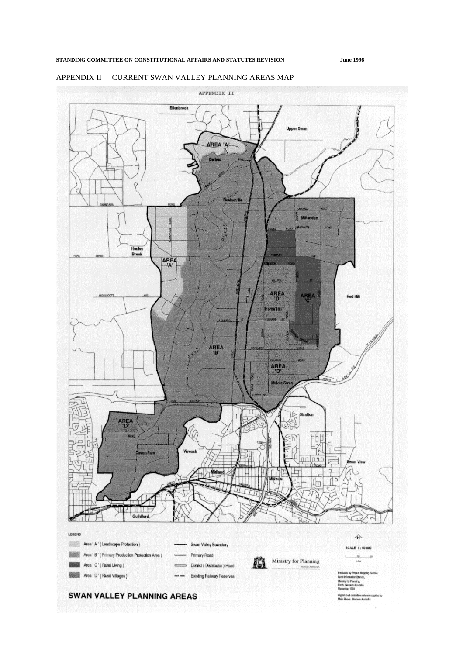## APPENDIX II CURRENT SWAN VALLEY PLANNING AREAS MAP

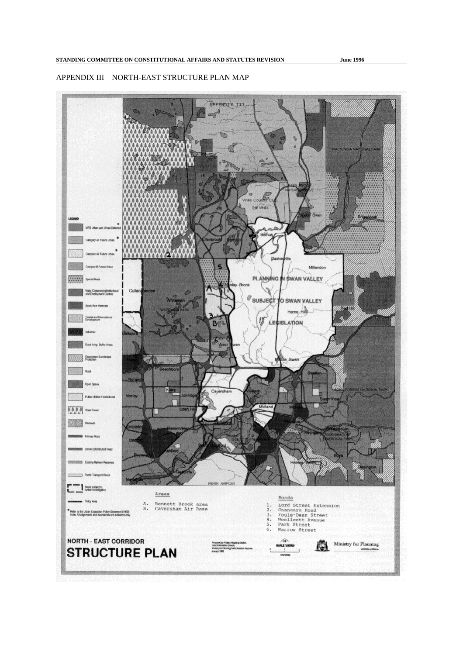## APPENDIX III NORTH-EAST STRUCTURE PLAN MAP